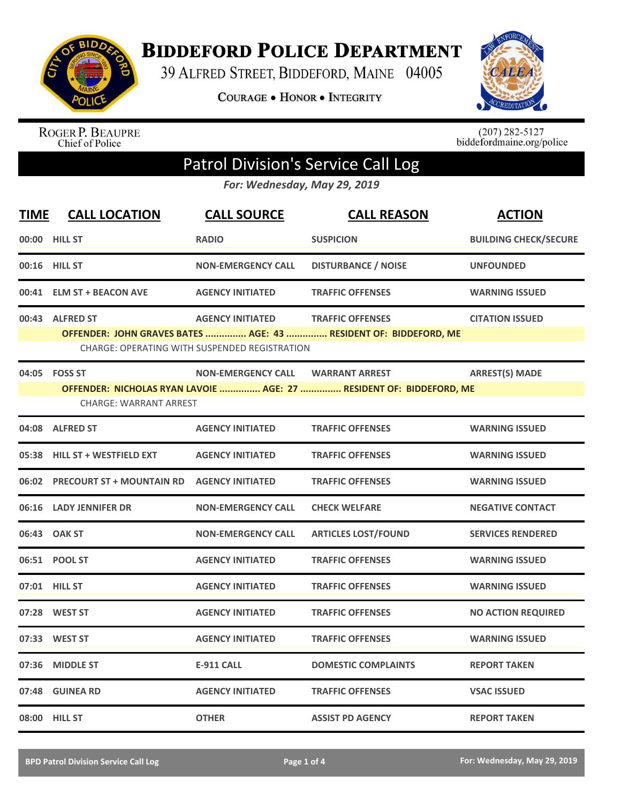

**BIDDEFORD POLICE DEPARTMENT** 

39 ALFRED STREET, BIDDEFORD, MAINE 04005

**COURAGE . HONOR . INTEGRITY** 



ROGER P. BEAUPRE<br>Chief of Police

 $(207)$  282-5127<br>biddefordmaine.org/police

## Patrol Division's Service Call Log

*For: Wednesday, May 29, 2019*

| <b>TIME</b> | <b>CALL LOCATION</b>            | <b>CALL SOURCE</b>                                   | <b>CALL REASON</b>                                                  | <b>ACTION</b>                |
|-------------|---------------------------------|------------------------------------------------------|---------------------------------------------------------------------|------------------------------|
|             | 00:00 HILL ST                   | <b>RADIO</b>                                         | <b>SUSPICION</b>                                                    | <b>BUILDING CHECK/SECURE</b> |
|             | 00:16 HILL ST                   | <b>NON-EMERGENCY CALL</b>                            | <b>DISTURBANCE / NOISE</b>                                          | <b>UNFOUNDED</b>             |
|             | 00:41 ELM ST + BEACON AVE       | <b>AGENCY INITIATED</b>                              | <b>TRAFFIC OFFENSES</b>                                             | <b>WARNING ISSUED</b>        |
|             | 00:43 ALFRED ST                 | <b>AGENCY INITIATED</b>                              | <b>TRAFFIC OFFENSES</b>                                             | <b>CITATION ISSUED</b>       |
|             |                                 | <b>CHARGE: OPERATING WITH SUSPENDED REGISTRATION</b> | OFFENDER: JOHN GRAVES BATES  AGE: 43  RESIDENT OF: BIDDEFORD, ME    |                              |
|             | 04:05 FOSS ST                   | <b>NON-EMERGENCY CALL</b>                            | <b>WARRANT ARREST</b>                                               | <b>ARREST(S) MADE</b>        |
|             | <b>CHARGE: WARRANT ARREST</b>   |                                                      | OFFENDER: NICHOLAS RYAN LAVOIE  AGE: 27  RESIDENT OF: BIDDEFORD, ME |                              |
|             | 04:08 ALFRED ST                 | <b>AGENCY INITIATED</b>                              | <b>TRAFFIC OFFENSES</b>                                             | <b>WARNING ISSUED</b>        |
|             | 05:38 HILL ST + WESTFIELD EXT   | <b>AGENCY INITIATED</b>                              | <b>TRAFFIC OFFENSES</b>                                             | <b>WARNING ISSUED</b>        |
|             | 06:02 PRECOURT ST + MOUNTAIN RD | <b>AGENCY INITIATED</b>                              | <b>TRAFFIC OFFENSES</b>                                             | <b>WARNING ISSUED</b>        |
|             | 06:16 LADY JENNIFER DR          | <b>NON-EMERGENCY CALL</b>                            | <b>CHECK WELFARE</b>                                                | <b>NEGATIVE CONTACT</b>      |
|             | 06:43 OAK ST                    | <b>NON-EMERGENCY CALL</b>                            | <b>ARTICLES LOST/FOUND</b>                                          | <b>SERVICES RENDERED</b>     |
|             | 06:51 POOL ST                   | <b>AGENCY INITIATED</b>                              | <b>TRAFFIC OFFENSES</b>                                             | <b>WARNING ISSUED</b>        |
|             | 07:01 HILL ST                   | <b>AGENCY INITIATED</b>                              | <b>TRAFFIC OFFENSES</b>                                             | <b>WARNING ISSUED</b>        |
|             | 07:28 WEST ST                   | <b>AGENCY INITIATED</b>                              | <b>TRAFFIC OFFENSES</b>                                             | <b>NO ACTION REQUIRED</b>    |
|             | 07:33 WEST ST                   | <b>AGENCY INITIATED</b>                              | <b>TRAFFIC OFFENSES</b>                                             | <b>WARNING ISSUED</b>        |
|             | 07:36 MIDDLE ST                 | <b>E-911 CALL</b>                                    | <b>DOMESTIC COMPLAINTS</b>                                          | <b>REPORT TAKEN</b>          |
|             | 07:48 GUINEA RD                 | <b>AGENCY INITIATED</b>                              | <b>TRAFFIC OFFENSES</b>                                             | <b>VSAC ISSUED</b>           |
|             | 08:00 HILL ST                   | <b>OTHER</b>                                         | <b>ASSIST PD AGENCY</b>                                             | <b>REPORT TAKEN</b>          |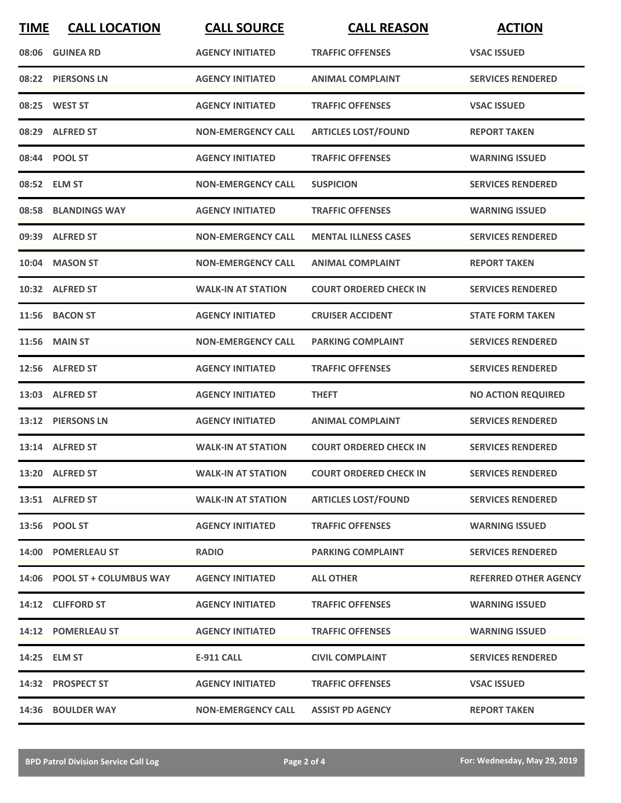| <b>TIME</b> | <b>CALL LOCATION</b>         | <b>CALL SOURCE</b>        | <b>CALL REASON</b>            | <b>ACTION</b>                |
|-------------|------------------------------|---------------------------|-------------------------------|------------------------------|
|             | 08:06 GUINEA RD              | <b>AGENCY INITIATED</b>   | <b>TRAFFIC OFFENSES</b>       | <b>VSAC ISSUED</b>           |
|             | 08:22 PIERSONS LN            | <b>AGENCY INITIATED</b>   | <b>ANIMAL COMPLAINT</b>       | <b>SERVICES RENDERED</b>     |
|             | 08:25 WEST ST                | <b>AGENCY INITIATED</b>   | <b>TRAFFIC OFFENSES</b>       | <b>VSAC ISSUED</b>           |
|             | 08:29 ALFRED ST              | <b>NON-EMERGENCY CALL</b> | <b>ARTICLES LOST/FOUND</b>    | <b>REPORT TAKEN</b>          |
|             | 08:44 POOL ST                | <b>AGENCY INITIATED</b>   | <b>TRAFFIC OFFENSES</b>       | <b>WARNING ISSUED</b>        |
|             | 08:52 ELM ST                 | <b>NON-EMERGENCY CALL</b> | <b>SUSPICION</b>              | <b>SERVICES RENDERED</b>     |
|             | 08:58 BLANDINGS WAY          | <b>AGENCY INITIATED</b>   | <b>TRAFFIC OFFENSES</b>       | <b>WARNING ISSUED</b>        |
|             | 09:39 ALFRED ST              | <b>NON-EMERGENCY CALL</b> | <b>MENTAL ILLNESS CASES</b>   | <b>SERVICES RENDERED</b>     |
| 10:04       | <b>MASON ST</b>              | <b>NON-EMERGENCY CALL</b> | <b>ANIMAL COMPLAINT</b>       | <b>REPORT TAKEN</b>          |
|             | 10:32 ALFRED ST              | <b>WALK-IN AT STATION</b> | <b>COURT ORDERED CHECK IN</b> | <b>SERVICES RENDERED</b>     |
|             | 11:56 BACON ST               | <b>AGENCY INITIATED</b>   | <b>CRUISER ACCIDENT</b>       | <b>STATE FORM TAKEN</b>      |
|             | <b>11:56 MAIN ST</b>         | <b>NON-EMERGENCY CALL</b> | <b>PARKING COMPLAINT</b>      | <b>SERVICES RENDERED</b>     |
|             | 12:56 ALFRED ST              | <b>AGENCY INITIATED</b>   | <b>TRAFFIC OFFENSES</b>       | <b>SERVICES RENDERED</b>     |
| 13:03       | <b>ALFRED ST</b>             | <b>AGENCY INITIATED</b>   | <b>THEFT</b>                  | <b>NO ACTION REQUIRED</b>    |
|             | 13:12 PIERSONS LN            | <b>AGENCY INITIATED</b>   | <b>ANIMAL COMPLAINT</b>       | <b>SERVICES RENDERED</b>     |
|             | 13:14 ALFRED ST              | <b>WALK-IN AT STATION</b> | <b>COURT ORDERED CHECK IN</b> | <b>SERVICES RENDERED</b>     |
|             | 13:20 ALFRED ST              | <b>WALK-IN AT STATION</b> | <b>COURT ORDERED CHECK IN</b> | <b>SERVICES RENDERED</b>     |
|             | 13:51 ALFRED ST              | <b>WALK-IN AT STATION</b> | <b>ARTICLES LOST/FOUND</b>    | <b>SERVICES RENDERED</b>     |
|             | 13:56 POOL ST                | <b>AGENCY INITIATED</b>   | <b>TRAFFIC OFFENSES</b>       | <b>WARNING ISSUED</b>        |
|             | 14:00 POMERLEAU ST           | <b>RADIO</b>              | <b>PARKING COMPLAINT</b>      | <b>SERVICES RENDERED</b>     |
|             | 14:06 POOL ST + COLUMBUS WAY | <b>AGENCY INITIATED</b>   | <b>ALL OTHER</b>              | <b>REFERRED OTHER AGENCY</b> |
|             | 14:12 CLIFFORD ST            | <b>AGENCY INITIATED</b>   | <b>TRAFFIC OFFENSES</b>       | <b>WARNING ISSUED</b>        |
|             | 14:12 POMERLEAU ST           | <b>AGENCY INITIATED</b>   | <b>TRAFFIC OFFENSES</b>       | <b>WARNING ISSUED</b>        |
|             | 14:25 ELM ST                 | <b>E-911 CALL</b>         | <b>CIVIL COMPLAINT</b>        | <b>SERVICES RENDERED</b>     |
|             | 14:32 PROSPECT ST            | <b>AGENCY INITIATED</b>   | <b>TRAFFIC OFFENSES</b>       | <b>VSAC ISSUED</b>           |
|             | 14:36 BOULDER WAY            | <b>NON-EMERGENCY CALL</b> | <b>ASSIST PD AGENCY</b>       | <b>REPORT TAKEN</b>          |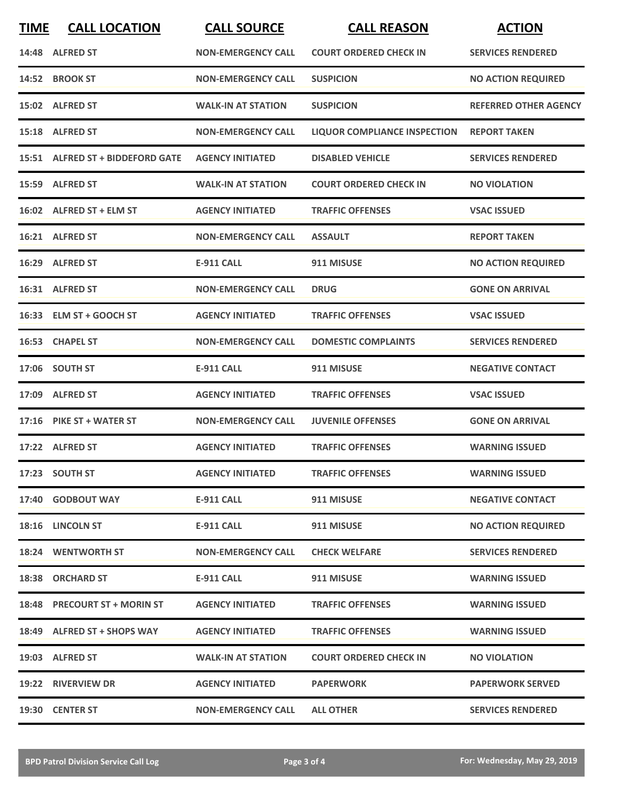| <b>TIME</b> | <b>CALL LOCATION</b>             | <b>CALL SOURCE</b>        | <b>CALL REASON</b>                  | <b>ACTION</b>                |
|-------------|----------------------------------|---------------------------|-------------------------------------|------------------------------|
|             | 14:48 ALFRED ST                  | <b>NON-EMERGENCY CALL</b> | <b>COURT ORDERED CHECK IN</b>       | <b>SERVICES RENDERED</b>     |
|             | 14:52 BROOK ST                   | <b>NON-EMERGENCY CALL</b> | <b>SUSPICION</b>                    | <b>NO ACTION REQUIRED</b>    |
|             | 15:02 ALFRED ST                  | <b>WALK-IN AT STATION</b> | <b>SUSPICION</b>                    | <b>REFERRED OTHER AGENCY</b> |
|             | 15:18 ALFRED ST                  | <b>NON-EMERGENCY CALL</b> | <b>LIQUOR COMPLIANCE INSPECTION</b> | <b>REPORT TAKEN</b>          |
|             | 15:51 ALFRED ST + BIDDEFORD GATE | <b>AGENCY INITIATED</b>   | <b>DISABLED VEHICLE</b>             | <b>SERVICES RENDERED</b>     |
|             | 15:59 ALFRED ST                  | <b>WALK-IN AT STATION</b> | <b>COURT ORDERED CHECK IN</b>       | <b>NO VIOLATION</b>          |
|             | 16:02 ALFRED ST + ELM ST         | <b>AGENCY INITIATED</b>   | <b>TRAFFIC OFFENSES</b>             | <b>VSAC ISSUED</b>           |
|             | 16:21 ALFRED ST                  | <b>NON-EMERGENCY CALL</b> | <b>ASSAULT</b>                      | <b>REPORT TAKEN</b>          |
|             | 16:29 ALFRED ST                  | <b>E-911 CALL</b>         | 911 MISUSE                          | <b>NO ACTION REQUIRED</b>    |
|             | 16:31 ALFRED ST                  | <b>NON-EMERGENCY CALL</b> | <b>DRUG</b>                         | <b>GONE ON ARRIVAL</b>       |
|             | 16:33 ELM ST + GOOCH ST          | <b>AGENCY INITIATED</b>   | <b>TRAFFIC OFFENSES</b>             | <b>VSAC ISSUED</b>           |
|             | 16:53 CHAPEL ST                  | <b>NON-EMERGENCY CALL</b> | <b>DOMESTIC COMPLAINTS</b>          | <b>SERVICES RENDERED</b>     |
|             | 17:06 SOUTH ST                   | <b>E-911 CALL</b>         | 911 MISUSE                          | <b>NEGATIVE CONTACT</b>      |
| 17:09       | <b>ALFRED ST</b>                 | <b>AGENCY INITIATED</b>   | <b>TRAFFIC OFFENSES</b>             | <b>VSAC ISSUED</b>           |
|             | 17:16 PIKE ST + WATER ST         | <b>NON-EMERGENCY CALL</b> | <b>JUVENILE OFFENSES</b>            | <b>GONE ON ARRIVAL</b>       |
|             | 17:22 ALFRED ST                  | <b>AGENCY INITIATED</b>   | <b>TRAFFIC OFFENSES</b>             | <b>WARNING ISSUED</b>        |
|             | 17:23 SOUTH ST                   | <b>AGENCY INITIATED</b>   | <b>TRAFFIC OFFENSES</b>             | <b>WARNING ISSUED</b>        |
|             | 17:40 GODBOUT WAY                | <b>E-911 CALL</b>         | 911 MISUSE                          | <b>NEGATIVE CONTACT</b>      |
|             | 18:16 LINCOLN ST                 | E-911 CALL                | 911 MISUSE                          | <b>NO ACTION REQUIRED</b>    |
|             | 18:24 WENTWORTH ST               | <b>NON-EMERGENCY CALL</b> | <b>CHECK WELFARE</b>                | <b>SERVICES RENDERED</b>     |
|             | 18:38 ORCHARD ST                 | <b>E-911 CALL</b>         | 911 MISUSE                          | <b>WARNING ISSUED</b>        |
|             | 18:48 PRECOURT ST + MORIN ST     | <b>AGENCY INITIATED</b>   | <b>TRAFFIC OFFENSES</b>             | <b>WARNING ISSUED</b>        |
|             | 18:49 ALFRED ST + SHOPS WAY      | <b>AGENCY INITIATED</b>   | <b>TRAFFIC OFFENSES</b>             | <b>WARNING ISSUED</b>        |
|             | 19:03 ALFRED ST                  | <b>WALK-IN AT STATION</b> | <b>COURT ORDERED CHECK IN</b>       | <b>NO VIOLATION</b>          |
|             | 19:22 RIVERVIEW DR               | <b>AGENCY INITIATED</b>   | <b>PAPERWORK</b>                    | <b>PAPERWORK SERVED</b>      |
|             | 19:30 CENTER ST                  | <b>NON-EMERGENCY CALL</b> | <b>ALL OTHER</b>                    | <b>SERVICES RENDERED</b>     |